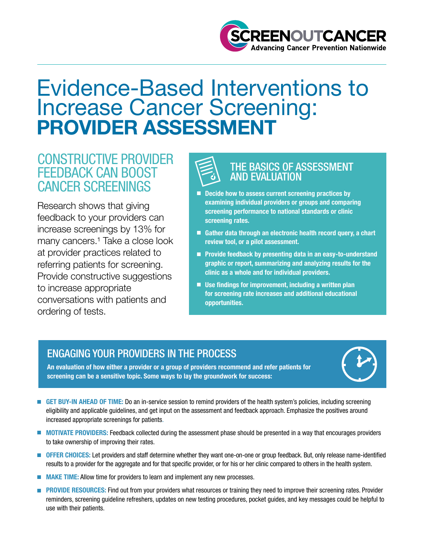

# Evidence-Based Interventions to Increase Cancer Screening: PROVIDER ASSESSMENT

# CONSTRUCTIVE PROVIDER FEEDBACK CAN BOOST CANCER SCREENINGS

Research shows that giving feedback to your providers can increase screenings by 13% for many cancers.<sup>1</sup> Take a close look at provider practices related to referring patients for screening. Provide constructive suggestions to increase appropriate conversations with patients and ordering of tests.



#### THE BASICS OF ASSESSMENT AND EVALUATION

- examining individual providers or groups and comparing<br>screening performance to national standards or clinic<br>screening rates Decide how to assess current screening practices by screening performance to national standards or clinic screening rates.
- Gather data through an electronic health record query, a chart review tool, or a pilot assessment.
- **Provide feedback by presenting data in an easy-to-understand** graphic or report, summarizing and analyzing results for the clinic as a whole and for individual providers.
- Use findings for improvement, including a written plan for screening rate increases and additional educational opportunities.

## ENGAGING YOUR PROVIDERS IN THE PROCESS

An evaluation of how either a provider or a group of providers recommend and refer patients for screening can be a sensitive topic. Some ways to lay the groundwork for success:

- 
- GET BUY-IN AHEAD OF TIME: Do an in-service session to remind providers of the health system's policies, including screening eligibility and applicable guidelines, and get input on the assessment and feedback approach. Emphasize the positives around increased appropriate screenings for patients.
- MOTIVATE PROVIDERS: Feedback collected during the assessment phase should be presented in a way that encourages providers П to take ownership of improving their rates.
- OFFER CHOICES: Let providers and staff determine whether they want one-on-one or group feedback. But, only release name-identified results to a provider for the aggregate and for that specific provider, or for his or her clinic compared to others in the health system.
- **MAKE TIME:** Allow time for providers to learn and implement any new processes.  $\overline{\phantom{a}}$
- PROVIDE RESOURCES: Find out from your providers what resources or training they need to improve their screening rates. Provider  $\mathbb{R}^n$ reminders, screening guideline refreshers, updates on new testing procedures, pocket guides, and key messages could be helpful to use with their patients.